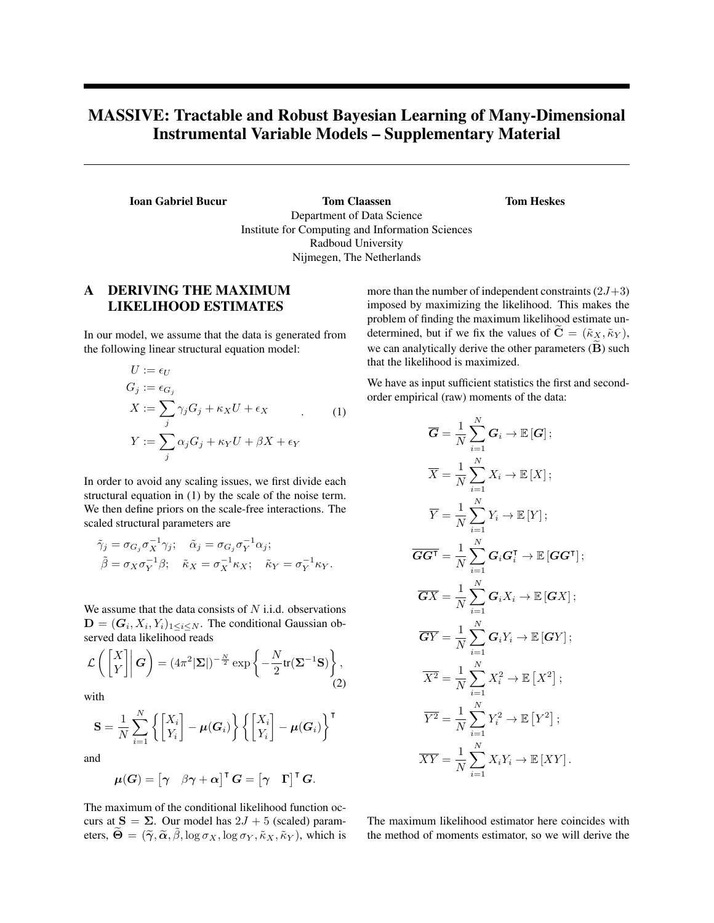# MASSIVE: Tractable and Robust Bayesian Learning of Many-Dimensional Instrumental Variable Models – Supplementary Material

Ioan Gabriel Bucur Tom Claassen Department of Data Science Institute for Computing and Information Sciences Radboud University Nijmegen, The Netherlands

## A DERIVING THE MAXIMUM LIKELIHOOD ESTIMATES

In our model, we assume that the data is generated from the following linear structural equation model:

$$
U := \epsilon_U
$$
  
\n
$$
G_j := \epsilon_{G_j}
$$
  
\n
$$
X := \sum_j \gamma_j G_j + \kappa_X U + \epsilon_X
$$
  
\n
$$
Y := \sum_j \alpha_j G_j + \kappa_Y U + \beta X + \epsilon_Y
$$
\n(1)

In order to avoid any scaling issues, we first divide each structural equation in (1) by the scale of the noise term. We then define priors on the scale-free interactions. The scaled structural parameters are

$$
\begin{aligned}\n\tilde{\gamma}_j &= \sigma_{G_j} \sigma_X^{-1} \gamma_j; \quad \tilde{\alpha}_j = \sigma_{G_j} \sigma_Y^{-1} \alpha_j; \\
\tilde{\beta} &= \sigma_X \sigma_Y^{-1} \beta; \quad \tilde{\kappa}_X = \sigma_X^{-1} \kappa_X; \quad \tilde{\kappa}_Y = \sigma_Y^{-1} \kappa_Y.\n\end{aligned}
$$

We assume that the data consists of  $N$  i.i.d. observations  $\mathbf{D} = (\mathbf{G}_i, X_i, Y_i)_{1 \leq i \leq N}$ . The conditional Gaussian observed data likelihood reads

$$
\mathcal{L}\left(\begin{bmatrix} X \\ Y \end{bmatrix} \middle| \mathbf{G}\right) = (4\pi^2 |\mathbf{\Sigma}|)^{-\frac{N}{2}} \exp\left\{-\frac{N}{2} \text{tr}(\mathbf{\Sigma}^{-1} \mathbf{S})\right\},\tag{2}
$$

with

$$
\mathbf{S} = \frac{1}{N} \sum_{i=1}^{N} \left\{ \begin{bmatrix} X_i \\ Y_i \end{bmatrix} - \boldsymbol{\mu}(\boldsymbol{G}_i) \right\} \left\{ \begin{bmatrix} X_i \\ Y_i \end{bmatrix} - \boldsymbol{\mu}(\boldsymbol{G}_i) \right\}^{\mathsf{T}}
$$

and

$$
\boldsymbol{\mu}(G) = \begin{bmatrix} \boldsymbol{\gamma} & \boldsymbol{\beta}\boldsymbol{\gamma} + \boldsymbol{\alpha} \end{bmatrix}^\intercal \boldsymbol{G} = \begin{bmatrix} \boldsymbol{\gamma} & \boldsymbol{\Gamma} \end{bmatrix}^\intercal \boldsymbol{G}.
$$

The maximum of the conditional likelihood function occurs at  $S = \Sigma$ . Our model has  $2J + 5$  (scaled) parameters,  $\widetilde{\Theta} = (\widetilde{\gamma}, \widetilde{\alpha}, \widetilde{\beta}, \log \sigma_X, \log \sigma_Y, \widetilde{\kappa}_X, \widetilde{\kappa}_Y)$ , which is more than the number of independent constraints  $(2J+3)$ imposed by maximizing the likelihood. This makes the problem of finding the maximum likelihood estimate undetermined, but if we fix the values of  $\tilde{C} = (\tilde{\kappa}_X, \tilde{\kappa}_Y)$ , we can analytically derive the other parameters  $(\tilde{B})$  such that the likelihood is maximized.

Tom Heskes

We have as input sufficient statistics the first and secondorder empirical (raw) moments of the data:

$$
\overline{G} = \frac{1}{N} \sum_{i=1}^{N} G_i \rightarrow \mathbb{E}[G];
$$
  
\n
$$
\overline{X} = \frac{1}{N} \sum_{i=1}^{N} X_i \rightarrow \mathbb{E}[X];
$$
  
\n
$$
\overline{Y} = \frac{1}{N} \sum_{i=1}^{N} Y_i \rightarrow \mathbb{E}[Y];
$$
  
\n
$$
\overline{GG^{\mathsf{T}}} = \frac{1}{N} \sum_{i=1}^{N} G_i G_i^{\mathsf{T}} \rightarrow \mathbb{E}[GG^{\mathsf{T}}];
$$
  
\n
$$
\overline{G}\overline{X} = \frac{1}{N} \sum_{i=1}^{N} G_i X_i \rightarrow \mathbb{E}[G X];
$$
  
\n
$$
\overline{G}\overline{Y} = \frac{1}{N} \sum_{i=1}^{N} G_i Y_i \rightarrow \mathbb{E}[GY];
$$
  
\n
$$
\overline{X^2} = \frac{1}{N} \sum_{i=1}^{N} X_i^2 \rightarrow \mathbb{E}[X^2];
$$
  
\n
$$
\overline{Y^2} = \frac{1}{N} \sum_{i=1}^{N} Y_i^2 \rightarrow \mathbb{E}[Y^2];
$$
  
\n
$$
\overline{XY} = \frac{1}{N} \sum_{i=1}^{N} X_i Y_i \rightarrow \mathbb{E}[XY].
$$

The maximum likelihood estimator here coincides with the method of moments estimator, so we will derive the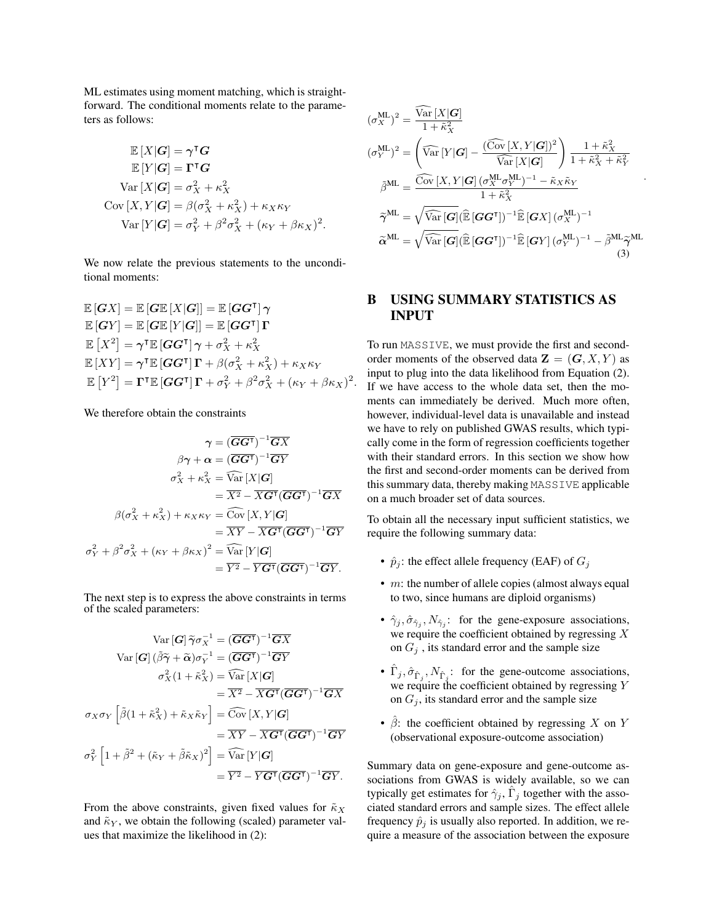ML estimates using moment matching, which is straightforward. The conditional moments relate to the parameters as follows:

$$
\mathbb{E}[X|\mathbf{G}] = \boldsymbol{\gamma}^{\mathsf{T}} \mathbf{G}
$$
  
\n
$$
\mathbb{E}[Y|\mathbf{G}] = \boldsymbol{\Gamma}^{\mathsf{T}} \mathbf{G}
$$
  
\n
$$
\text{Var}[X|\mathbf{G}] = \sigma_X^2 + \kappa_X^2
$$
  
\n
$$
\text{Cov}[X, Y|\mathbf{G}] = \beta(\sigma_X^2 + \kappa_X^2) + \kappa_X \kappa_Y
$$
  
\n
$$
\text{Var}[Y|\mathbf{G}] = \sigma_Y^2 + \beta^2 \sigma_X^2 + (\kappa_Y + \beta \kappa_X)^2.
$$

We now relate the previous statements to the unconditional moments:

$$
\mathbb{E}[GX] = \mathbb{E}[G\mathbb{E}[X|G]] = \mathbb{E}[GG^{\mathsf{T}}]\gamma
$$
  
\n
$$
\mathbb{E}[GY] = \mathbb{E}[G\mathbb{E}[Y|G]] = \mathbb{E}[GG^{\mathsf{T}}]\Gamma
$$
  
\n
$$
\mathbb{E}[X^2] = \gamma^{\mathsf{T}}\mathbb{E}[GG^{\mathsf{T}}]\gamma + \sigma_X^2 + \kappa_X^2
$$
  
\n
$$
\mathbb{E}[XY] = \gamma^{\mathsf{T}}\mathbb{E}[GG^{\mathsf{T}}]\Gamma + \beta(\sigma_X^2 + \kappa_X^2) + \kappa_X \kappa_Y
$$
  
\n
$$
\mathbb{E}[Y^2] = \Gamma^{\mathsf{T}}\mathbb{E}[GG^{\mathsf{T}}]\Gamma + \sigma_Y^2 + \beta^2 \sigma_X^2 + (\kappa_Y + \beta \kappa_X)^2.
$$

We therefore obtain the constraints

$$
\gamma = (\overline{GG^{\mathsf{T}}})^{-1}\overline{GX}
$$

$$
\beta\gamma + \alpha = (\overline{GG^{\mathsf{T}}})^{-1}\overline{GY}
$$

$$
\sigma_X^2 + \kappa_X^2 = \widehat{\text{Var}}[X|G]
$$

$$
= \overline{X^2} - \overline{X}\overline{G^{\mathsf{T}}}(\overline{GG^{\mathsf{T}}})^{-1}\overline{GX}
$$

$$
\beta(\sigma_X^2 + \kappa_X^2) + \kappa_X \kappa_Y = \widehat{\text{Cov}}[X, Y|G]
$$

$$
= \overline{XY} - \overline{X}\overline{G^{\mathsf{T}}}(\overline{GG^{\mathsf{T}}})^{-1}\overline{GY}
$$

$$
\sigma_Y^2 + \beta^2 \sigma_X^2 + (\kappa_Y + \beta \kappa_X)^2 = \widehat{\text{Var}}[Y|G]
$$

$$
= \overline{Y^2} - \overline{Y}\overline{G^{\mathsf{T}}}(\overline{GG^{\mathsf{T}}})^{-1}\overline{GY}.
$$

The next step is to express the above constraints in terms of the scaled parameters:

$$
\operatorname{Var}\left[G\right]\widetilde{\gamma}\sigma_{X}^{-1} = (\overline{GG^{\mathsf{T}}})^{-1}\overline{GX}
$$
\n
$$
\operatorname{Var}\left[G\right](\widetilde{\beta}\widetilde{\gamma} + \widetilde{\alpha})\sigma_{Y}^{-1} = (\overline{GG^{\mathsf{T}}})^{-1}\overline{GY}
$$
\n
$$
\sigma_{X}^{2}(1 + \widetilde{\kappa}_{X}^{2}) = \widehat{\operatorname{Var}}\left[X|G\right]
$$
\n
$$
= \overline{X^{2}} - \overline{X}\overline{G^{\mathsf{T}}}(\overline{GG^{\mathsf{T}}})^{-1}\overline{GX}
$$
\n
$$
\sigma_{X}\sigma_{Y}\left[\widetilde{\beta}(1 + \widetilde{\kappa}_{X}^{2}) + \widetilde{\kappa}_{X}\widetilde{\kappa}_{Y}\right] = \widehat{\operatorname{Cov}}\left[X, Y|G\right]
$$
\n
$$
= \overline{XY} - \overline{X}\overline{G^{\mathsf{T}}}(\overline{GG^{\mathsf{T}}})^{-1}\overline{GY}
$$
\n
$$
\sigma_{Y}^{2}\left[1 + \widetilde{\beta}^{2} + (\widetilde{\kappa}_{Y} + \widetilde{\beta}\widetilde{\kappa}_{X})^{2}\right] = \widehat{\operatorname{Var}}\left[Y|G\right]
$$
\n
$$
= \overline{Y^{2}} - \overline{Y}\overline{G^{\mathsf{T}}}(\overline{GG^{\mathsf{T}}})^{-1}\overline{GY}.
$$

From the above constraints, given fixed values for  $\tilde{\kappa}_X$ and  $\tilde{\kappa}_Y$ , we obtain the following (scaled) parameter values that maximize the likelihood in (2):

$$
(\sigma_X^{\text{ML}})^2 = \frac{\widehat{\text{Var}}[X|\mathbf{G}]}{1 + \tilde{\kappa}_X^2}
$$
  
\n
$$
(\sigma_Y^{\text{ML}})^2 = \left(\widehat{\text{Var}}[Y|\mathbf{G}] - \frac{(\widehat{\text{Cov}}[X, Y|\mathbf{G}])^2}{\widehat{\text{Var}}[X|\mathbf{G}]}\right) \frac{1 + \tilde{\kappa}_X^2}{1 + \tilde{\kappa}_X^2 + \tilde{\kappa}_Y^2}
$$
  
\n
$$
\tilde{\beta}^{\text{ML}} = \frac{\widehat{\text{Cov}}[X, Y|\mathbf{G}](\sigma_X^{\text{ML}} \sigma_Y^{\text{ML}})^{-1} - \tilde{\kappa}_X \tilde{\kappa}_Y}{1 + \tilde{\kappa}_X^2}
$$
  
\n
$$
\tilde{\gamma}^{\text{ML}} = \sqrt{\widehat{\text{Var}}[\mathbf{G}](\widehat{\mathbb{E}}[\mathbf{G}\mathbf{G}^\mathsf{T}])^{-1} \widehat{\mathbb{E}}[\mathbf{G}X](\sigma_X^{\text{ML}})^{-1}}
$$
  
\n
$$
\tilde{\alpha}^{\text{ML}} = \sqrt{\widehat{\text{Var}}[\mathbf{G}](\widehat{\mathbb{E}}[\mathbf{G}\mathbf{G}^\mathsf{T}])^{-1} \widehat{\mathbb{E}}[\mathbf{G}Y](\sigma_Y^{\text{ML}})^{-1} - \tilde{\beta}^{\text{ML}} \tilde{\gamma}^{\text{ML}}}
$$
  
\n(3)

#### B USING SUMMARY STATISTICS AS INPUT

To run MASSIVE, we must provide the first and secondorder moments of the observed data  $\mathbf{Z} = (\mathbf{G}, X, Y)$  as input to plug into the data likelihood from Equation (2). If we have access to the whole data set, then the moments can immediately be derived. Much more often, however, individual-level data is unavailable and instead we have to rely on published GWAS results, which typically come in the form of regression coefficients together with their standard errors. In this section we show how the first and second-order moments can be derived from this summary data, thereby making MASSIVE applicable on a much broader set of data sources.

To obtain all the necessary input sufficient statistics, we require the following summary data:

- $\hat{p}_j$ : the effect allele frequency (EAF) of  $G_j$
- $m$ : the number of allele copies (almost always equal to two, since humans are diploid organisms)
- $\hat{\gamma}_j, \hat{\sigma}_{\hat{\gamma}_j}, N_{\hat{\gamma}_j}$ : for the gene-exposure associations, we require the coefficient obtained by regressing X on  $G_i$ , its standard error and the sample size
- $\hat{\Gamma}_j$ ,  $\hat{\sigma}_{\hat{\Gamma}_j}$ ,  $N_{\hat{\Gamma}_j}$ : for the gene-outcome associations, we require the coefficient obtained by regressing Y on  $G_i$ , its standard error and the sample size
- $\hat{\beta}$ : the coefficient obtained by regressing X on Y (observational exposure-outcome association)

Summary data on gene-exposure and gene-outcome associations from GWAS is widely available, so we can typically get estimates for  $\hat{\gamma}_j$ ,  $\hat{\Gamma}_j$  together with the associated standard errors and sample sizes. The effect allele frequency  $\hat{p}_i$  is usually also reported. In addition, we require a measure of the association between the exposure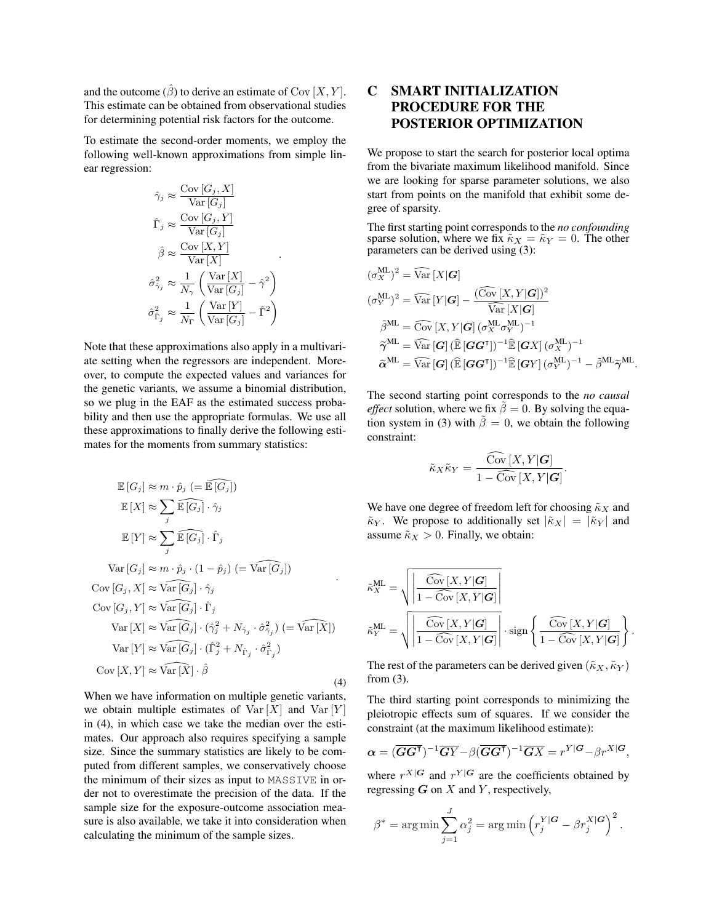and the outcome  $(\hat{\beta})$  to derive an estimate of Cov [X, Y]. This estimate can be obtained from observational studies for determining potential risk factors for the outcome.

To estimate the second-order moments, we employ the following well-known approximations from simple linear regression:

$$
\hat{\gamma}_j \approx \frac{\text{Cov}[G_j, X]}{\text{Var}[G_j]}
$$
\n
$$
\hat{\Gamma}_j \approx \frac{\text{Cov}[G_j, Y]}{\text{Var}[G_j]}
$$
\n
$$
\hat{\beta} \approx \frac{\text{Cov}[X, Y]}{\text{Var}[X]}
$$
\n
$$
\hat{\sigma}_{\hat{\gamma}_j}^2 \approx \frac{1}{N_{\gamma}} \left( \frac{\text{Var}[X]}{\text{Var}[G_j]} - \hat{\gamma}^2 \right)
$$
\n
$$
\hat{\sigma}_{\hat{\Gamma}_j}^2 \approx \frac{1}{N_{\Gamma}} \left( \frac{\text{Var}[Y]}{\text{Var}[G_j]} - \hat{\Gamma}^2 \right)
$$

Note that these approximations also apply in a multivariate setting when the regressors are independent. Moreover, to compute the expected values and variances for the genetic variants, we assume a binomial distribution, so we plug in the EAF as the estimated success probability and then use the appropriate formulas. We use all these approximations to finally derive the following estimates for the moments from summary statistics:

$$
\mathbb{E}\left[G_j\right] \approx m \cdot \hat{p}_j \ (= \widehat{\mathbb{E}\left[G_j\right]})
$$
\n
$$
\mathbb{E}\left[X\right] \approx \sum_j \widehat{\mathbb{E}\left[G_j\right]} \cdot \hat{\gamma}_j
$$
\n
$$
\mathbb{E}\left[Y\right] \approx \sum_j \widehat{\mathbb{E}\left[G_j\right]} \cdot \hat{\gamma}_j
$$
\n
$$
\text{Var}\left[G_j\right] \approx m \cdot \hat{p}_j \cdot (1 - \hat{p}_j) \ (= \widehat{\text{Var}\left[G_j\right]})
$$
\n
$$
\text{Cov}\left[G_j, X\right] \approx \widehat{\text{Var}\left[G_j\right]} \cdot \hat{\gamma}_j
$$
\n
$$
\text{Cov}\left[G_j, Y\right] \approx \widehat{\text{Var}\left[G_j\right]} \cdot \hat{\Gamma}_j
$$
\n
$$
\text{Var}\left[X\right] \approx \widehat{\text{Var}\left[G_j\right]} \cdot (\hat{\gamma}_j^2 + N_{\hat{\gamma}_j} \cdot \hat{\sigma}_{\hat{\gamma}_j}^2) \ (= \widehat{\text{Var}\left[X\right]})
$$
\n
$$
\text{Var}\left[Y\right] \approx \widehat{\text{Var}\left[G_j\right]} \cdot (\hat{\Gamma}_j^2 + N_{\hat{\Gamma}_j} \cdot \hat{\sigma}_{\hat{\Gamma}_j}^2)
$$
\n
$$
\text{Cov}\left[X, Y\right] \approx \widehat{\text{Var}\left[X\right]} \cdot \hat{\beta}
$$
\n
$$
(4)
$$

When we have information on multiple genetic variants, we obtain multiple estimates of  $Var[X]$  and  $Var[Y]$ in (4), in which case we take the median over the estimates. Our approach also requires specifying a sample size. Since the summary statistics are likely to be computed from different samples, we conservatively choose the minimum of their sizes as input to MASSIVE in order not to overestimate the precision of the data. If the sample size for the exposure-outcome association measure is also available, we take it into consideration when calculating the minimum of the sample sizes.

## C SMART INITIALIZATION PROCEDURE FOR THE POSTERIOR OPTIMIZATION

We propose to start the search for posterior local optima from the bivariate maximum likelihood manifold. Since we are looking for sparse parameter solutions, we also start from points on the manifold that exhibit some degree of sparsity.

The first starting point corresponds to the *no confounding* sparse solution, where we fix  $\tilde{\kappa}_X = \tilde{\kappa}_Y = 0$ . The other parameters can be derived using (3):

$$
(\sigma_X^{\text{ML}})^2 = \widehat{\text{Var}}[X|\mathbf{G}]
$$
  
\n
$$
(\sigma_Y^{\text{ML}})^2 = \widehat{\text{Var}}[Y|\mathbf{G}] - \frac{(\widehat{\text{Cov}}[X, Y|\mathbf{G}])^2}{\widehat{\text{Var}}[X|\mathbf{G}]}
$$
  
\n
$$
\tilde{\beta}^{\text{ML}} = \widehat{\text{Cov}}[X, Y|\mathbf{G}] (\sigma_X^{\text{ML}} \sigma_Y^{\text{ML}})^{-1}
$$
  
\n
$$
\tilde{\gamma}^{\text{ML}} = \widehat{\text{Var}}[\mathbf{G}] (\widehat{\mathbb{E}}[\mathbf{G}\mathbf{G}^{\text{T}}])^{-1} \widehat{\mathbb{E}}[\mathbf{G}X] (\sigma_X^{\text{ML}})^{-1}
$$
  
\n
$$
\tilde{\alpha}^{\text{ML}} = \widehat{\text{Var}}[\mathbf{G}] (\widehat{\mathbb{E}}[\mathbf{G}\mathbf{G}^{\text{T}}])^{-1} \widehat{\mathbb{E}}[\mathbf{G}Y] (\sigma_Y^{\text{ML}})^{-1} - \tilde{\beta}^{\text{ML}} \tilde{\gamma}^{\text{ML}}.
$$

The second starting point corresponds to the *no causal effect* solution, where we fix  $\tilde{\beta} = 0$ . By solving the equation system in (3) with  $\tilde{\beta} = 0$ , we obtain the following constraint:

$$
\tilde{\kappa}_X \tilde{\kappa}_Y = \frac{\widehat{\mathrm{Cov}}[X, Y|\mathbf{G}]}{1 - \widehat{\mathrm{Cov}}[X, Y|\mathbf{G}]}.
$$

We have one degree of freedom left for choosing  $\tilde{\kappa}_X$  and  $\tilde{\kappa}_Y$ . We propose to additionally set  $|\tilde{\kappa}_X| = |\tilde{\kappa}_Y|$  and assume  $\tilde{\kappa}_X > 0$ . Finally, we obtain:

$$
\tilde{\kappa}_{X}^{\text{ML}} = \sqrt{\left| \frac{\widehat{\text{Cov}}[X, Y | \mathbf{G}]}{1 - \widehat{\text{Cov}}[X, Y | \mathbf{G}]} \right|} \n\tilde{\kappa}_{Y}^{\text{ML}} = \sqrt{\left| \frac{\widehat{\text{Cov}}[X, Y | \mathbf{G}]}{1 - \widehat{\text{Cov}}[X, Y | \mathbf{G}]} \right|} \cdot \text{sign}\left\{ \frac{\widehat{\text{Cov}}[X, Y | \mathbf{G}]}{1 - \widehat{\text{Cov}}[X, Y | \mathbf{G}]} \right\}.
$$

The rest of the parameters can be derived given  $(\tilde{\kappa}_X, \tilde{\kappa}_Y)$ from (3).

The third starting point corresponds to minimizing the pleiotropic effects sum of squares. If we consider the constraint (at the maximum likelihood estimate):

$$
\boldsymbol{\alpha} = (\overline{\mathbf{G}\mathbf{G}^{\mathsf{T}}})^{-1}\overline{\mathbf{G}Y} - \beta(\overline{\mathbf{G}\mathbf{G}^{\mathsf{T}}})^{-1}\overline{\mathbf{G}X} = r^{Y|\mathbf{G}} - \beta r^{X|\mathbf{G}},
$$

where  $r^{X|G}$  and  $r^{Y|G}$  are the coefficients obtained by regressing  $G$  on  $X$  and  $Y$ , respectively,

$$
\beta^* = \arg \min \sum_{j=1}^J \alpha_j^2 = \arg \min \left( r_j^{Y|\mathbf{G}} - \beta r_j^{X|\mathbf{G}} \right)^2.
$$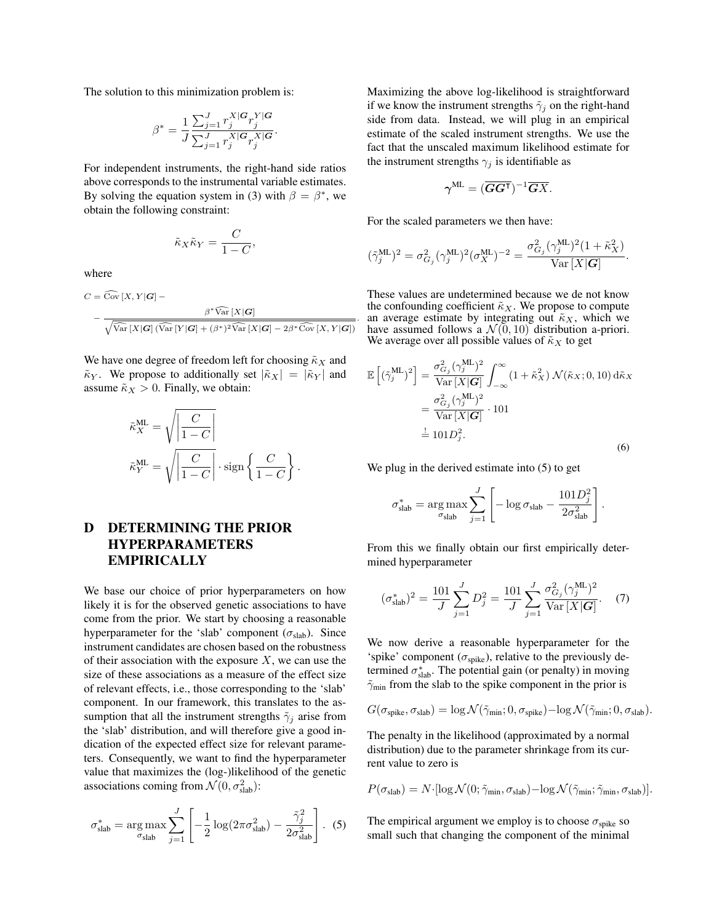The solution to this minimization problem is:

$$
\beta^* = \frac{1}{J}\frac{\sum_{j=1}^J r_j^{X|\mathbf{G}}r_j^{Y|\mathbf{G}}}{\sum_{j=1}^J r_j^{X|\mathbf{G}}r_j^{X|\mathbf{G}}}.
$$

For independent instruments, the right-hand side ratios above corresponds to the instrumental variable estimates. By solving the equation system in (3) with  $\beta = \beta^*$ , we obtain the following constraint:

$$
\tilde{\kappa}_X \tilde{\kappa}_Y = \frac{C}{1 - C},
$$

where

$$
C = \widehat{\mathrm{Cov}} \left[ X, Y | \mathbf{G} \right] -
$$

$$
- \frac{\beta^* \widehat{\mathrm{Var}} \left[ X | \mathbf{G} \right]}{\sqrt{\widehat{\mathrm{Var}} \left[ X | \mathbf{G} \right] \left( \widehat{\mathrm{Var}} \left[ Y | \mathbf{G} \right] + (\beta^*)^2 \widehat{\mathrm{Var}} \left[ X | \mathbf{G} \right] - 2\beta^* \widehat{\mathrm{Cov}} \left[ X, Y | \mathbf{G} \right] \right)}}
$$

We have one degree of freedom left for choosing  $\tilde{\kappa}_X$  and  $\tilde{\kappa}_Y$ . We propose to additionally set  $|\tilde{\kappa}_X| = |\tilde{\kappa}_Y|$  and assume  $\tilde{\kappa}_X > 0$ . Finally, we obtain:

$$
\tilde{\kappa}_X^{\text{ML}} = \sqrt{\left| \frac{C}{1 - C} \right|}
$$

$$
\tilde{\kappa}_Y^{\text{ML}} = \sqrt{\left| \frac{C}{1 - C} \right|} \cdot \text{sign}\left\{ \frac{C}{1 - C} \right\}.
$$

# D DETERMINING THE PRIOR HYPERPARAMETERS EMPIRICALLY

We base our choice of prior hyperparameters on how likely it is for the observed genetic associations to have come from the prior. We start by choosing a reasonable hyperparameter for the 'slab' component ( $\sigma_{slab}$ ). Since instrument candidates are chosen based on the robustness of their association with the exposure  $X$ , we can use the size of these associations as a measure of the effect size of relevant effects, i.e., those corresponding to the 'slab' component. In our framework, this translates to the assumption that all the instrument strengths  $\tilde{\gamma}_i$  arise from the 'slab' distribution, and will therefore give a good indication of the expected effect size for relevant parameters. Consequently, we want to find the hyperparameter value that maximizes the (log-)likelihood of the genetic associations coming from  $\mathcal{N}(0, \sigma_{\text{slab}}^2)$ :

$$
\sigma_{\text{slab}}^* = \underset{\sigma_{\text{slab}}}{\arg\max} \sum_{j=1}^J \left[ -\frac{1}{2} \log(2\pi \sigma_{\text{slab}}^2) - \frac{\tilde{\gamma}_j^2}{2\sigma_{\text{slab}}^2} \right].
$$
 (5)

Maximizing the above log-likelihood is straightforward if we know the instrument strengths  $\tilde{\gamma}_j$  on the right-hand side from data. Instead, we will plug in an empirical estimate of the scaled instrument strengths. We use the fact that the unscaled maximum likelihood estimate for the instrument strengths  $\gamma_i$  is identifiable as

$$
\boldsymbol{\gamma}^{\mathrm{ML}} = (\overline{\mathbf{G}\mathbf{G}^{\mathsf{T}}})^{-1}\overline{\mathbf{G}X}.
$$

For the scaled parameters we then have:

.

$$
(\tilde{\gamma}_j^{\text{ML}})^2 = \sigma_{G_j}^2 (\gamma_j^{\text{ML}})^2 (\sigma_X^{\text{ML}})^{-2} = \frac{\sigma_{G_j}^2 (\gamma_j^{\text{ML}})^2 (1 + \tilde{\kappa}_X^2)}{\text{Var}[X|G]}.
$$

These values are undetermined because we de not know the confounding coefficient  $\tilde{\kappa}_X$ . We propose to compute an average estimate by integrating out  $\tilde{\kappa}_X$ , which we have assumed follows a  $\mathcal{N}(0, 10)$  distribution a-priori. We average over all possible values of  $\tilde{\kappa}_X$  to get

$$
\mathbb{E}\left[(\tilde{\gamma}_j^{\text{ML}})^2\right] = \frac{\sigma_{G_j}^2 (\gamma_j^{\text{ML}})^2}{\text{Var}\left[X|\mathbf{G}\right]} \int_{-\infty}^{\infty} (1 + \tilde{\kappa}_X^2) \, \mathcal{N}(\tilde{\kappa}_X; 0, 10) \, d\tilde{\kappa}_X
$$
\n
$$
= \frac{\sigma_{G_j}^2 (\gamma_j^{\text{ML}})^2}{\text{Var}\left[X|\mathbf{G}\right]} \cdot 101
$$
\n
$$
\stackrel{\text{d}}{=} 101 D_j^2. \tag{6}
$$

We plug in the derived estimate into (5) to get

$$
\sigma_{\text{slab}}^* = \arg \max_{\sigma_{\text{slab}}} \sum_{j=1}^J \left[ -\log \sigma_{\text{slab}} - \frac{101 D_j^2}{2 \sigma_{\text{slab}}^2} \right]
$$

.

From this we finally obtain our first empirically determined hyperparameter

$$
(\sigma_{\text{slab}}^*)^2 = \frac{101}{J} \sum_{j=1}^J D_j^2 = \frac{101}{J} \sum_{j=1}^J \frac{\sigma_{G_j}^2 (\gamma_j^{\text{ML}})^2}{\text{Var}[X|G]}.
$$
 (7)

We now derive a reasonable hyperparameter for the 'spike' component ( $\sigma_{\text{spike}}$ ), relative to the previously determined  $\sigma_{\text{slab}}^*$ . The potential gain (or penalty) in moving  $\tilde{\gamma}_{\text{min}}$  from the slab to the spike component in the prior is

$$
G(\sigma_{\text{spike}}, \sigma_{\text{slab}}) = \log \mathcal{N}(\tilde{\gamma}_{\text{min}}; 0, \sigma_{\text{spike}}) - \log \mathcal{N}(\tilde{\gamma}_{\text{min}}; 0, \sigma_{\text{slab}}).
$$

The penalty in the likelihood (approximated by a normal distribution) due to the parameter shrinkage from its current value to zero is

$$
P(\sigma_{\text{slab}}) = N \cdot [\log \mathcal{N}(0; \tilde{\gamma}_{\text{min}}, \sigma_{\text{slab}}) - \log \mathcal{N}(\tilde{\gamma}_{\text{min}}; \tilde{\gamma}_{\text{min}}, \sigma_{\text{slab}})].
$$

The empirical argument we employ is to choose  $\sigma_{\text{spike}}$  so small such that changing the component of the minimal